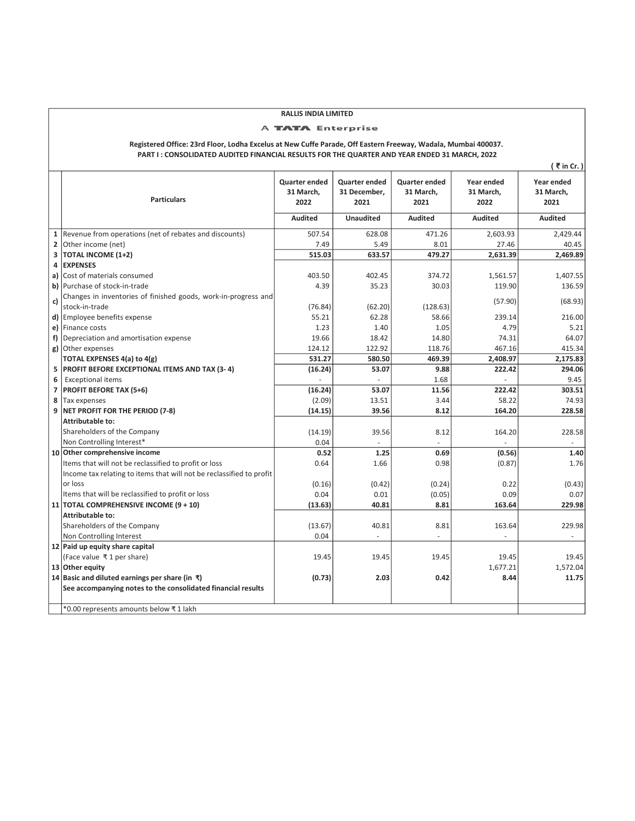## RALLIS INDIA LIMITED

## A **TATA** Enterprise

Registered Office: 23rd Floor, Lodha Excelus at New Cuffe Parade, Off Eastern Freeway, Wadala, Mumbai 400037. PART I : CONSOLIDATED AUDITED FINANCIAL RESULTS FOR THE QUARTER AND YEAR ENDED 31 MARCH, 2022

|              |                                                                      |                                    |                                              |                                    |                                 | ₹in Cr.)                        |
|--------------|----------------------------------------------------------------------|------------------------------------|----------------------------------------------|------------------------------------|---------------------------------|---------------------------------|
|              | <b>Particulars</b>                                                   | Quarter ended<br>31 March,<br>2022 | <b>Quarter ended</b><br>31 December,<br>2021 | Quarter ended<br>31 March,<br>2021 | Year ended<br>31 March,<br>2022 | Year ended<br>31 March,<br>2021 |
|              |                                                                      | <b>Audited</b>                     | <b>Unaudited</b>                             | <b>Audited</b>                     | <b>Audited</b>                  | <b>Audited</b>                  |
| $\mathbf 1$  | Revenue from operations (net of rebates and discounts)               | 507.54                             | 628.08                                       | 471.26                             | 2.603.93                        | 2.429.44                        |
| $\mathbf{2}$ | Other income (net)                                                   | 7.49                               | 5.49                                         | 8.01                               | 27.46                           | 40.45                           |
| 3            | <b>TOTAL INCOME (1+2)</b>                                            | 515.03                             | 633.57                                       | 479.27                             | 2,631.39                        | 2,469.89                        |
| 4            | <b>EXPENSES</b>                                                      |                                    |                                              |                                    |                                 |                                 |
| a)           | Cost of materials consumed                                           | 403.50                             | 402.45                                       | 374.72                             | 1,561.57                        | 1,407.55                        |
|              | b) Purchase of stock-in-trade                                        | 4.39                               | 35.23                                        | 30.03                              | 119.90                          | 136.59                          |
|              | Changes in inventories of finished goods, work-in-progress and       |                                    |                                              |                                    |                                 |                                 |
| c)           | stock-in-trade                                                       | (76.84)                            | (62.20)                                      | (128.63)                           | (57.90)                         | (68.93)                         |
|              | d) Employee benefits expense                                         | 55.21                              | 62.28                                        | 58.66                              | 239.14                          | 216.00                          |
|              | e) Finance costs                                                     | 1.23                               | 1.40                                         | 1.05                               | 4.79                            | 5.21                            |
| f)           | Depreciation and amortisation expense                                | 19.66                              | 18.42                                        | 14.80                              | 74.31                           | 64.07                           |
| g)           | Other expenses                                                       | 124.12                             | 122.92                                       | 118.76                             | 467.16                          | 415.34                          |
|              | TOTAL EXPENSES 4(a) to 4(g)                                          | 531.27                             | 580.50                                       | 469.39                             | 2,408.97                        | 2,175.83                        |
| 5            | <b>PROFIT BEFORE EXCEPTIONAL ITEMS AND TAX (3-4)</b>                 | (16.24)                            | 53.07                                        | 9.88                               | 222.42                          | 294.06                          |
| 6            | <b>Exceptional items</b>                                             |                                    |                                              | 1.68                               |                                 | 9.45                            |
| 7            | <b>PROFIT BEFORE TAX (5+6)</b>                                       | (16.24)                            | 53.07                                        | 11.56                              | 222.42                          | 303.51                          |
| 8            | Tax expenses                                                         | (2.09)                             | 13.51                                        | 3.44                               | 58.22                           | 74.93                           |
| 9            | NET PROFIT FOR THE PERIOD (7-8)                                      | (14.15)                            | 39.56                                        | 8.12                               | 164.20                          | 228.58                          |
|              | Attributable to:                                                     |                                    |                                              |                                    |                                 |                                 |
|              | Shareholders of the Company                                          | (14.19)                            | 39.56                                        | 8.12                               | 164.20                          | 228.58                          |
|              | Non Controlling Interest*                                            | 0.04                               |                                              |                                    |                                 |                                 |
|              | 10 Other comprehensive income                                        | 0.52                               | 1.25                                         | 0.69                               | (0.56)                          | 1.40                            |
|              | Items that will not be reclassified to profit or loss                | 0.64                               | 1.66                                         | 0.98                               | (0.87)                          | 1.76                            |
|              | Income tax relating to items that will not be reclassified to profit |                                    |                                              |                                    |                                 |                                 |
|              | or loss                                                              | (0.16)                             | (0.42)                                       | (0.24)                             | 0.22                            | (0.43)                          |
|              | Items that will be reclassified to profit or loss                    | 0.04                               | 0.01                                         | (0.05)                             | 0.09                            | 0.07                            |
|              | 11 TOTAL COMPREHENSIVE INCOME (9 + 10)                               | (13.63)                            | 40.81                                        | 8.81                               | 163.64                          | 229.98                          |
|              | <b>Attributable to:</b>                                              |                                    |                                              |                                    |                                 |                                 |
|              | Shareholders of the Company                                          | (13.67)                            | 40.81                                        | 8.81                               | 163.64                          | 229.98                          |
|              | Non Controlling Interest                                             | 0.04                               |                                              |                                    |                                 |                                 |
|              | 12 Paid up equity share capital                                      |                                    |                                              |                                    |                                 |                                 |
|              | (Face value ₹1 per share)                                            | 19.45                              | 19.45                                        | 19.45                              | 19.45                           | 19.45                           |
|              | 13 Other equity                                                      |                                    |                                              |                                    | 1,677.21                        | 1,572.04                        |
|              | 14 Basic and diluted earnings per share (in $\bar{x}$ )              | (0.73)                             | 2.03                                         | 0.42                               | 8.44                            | 11.75                           |
|              | See accompanying notes to the consolidated financial results         |                                    |                                              |                                    |                                 |                                 |
|              |                                                                      |                                    |                                              |                                    |                                 |                                 |
|              | *0.00 represents amounts below ₹1 lakh                               |                                    |                                              |                                    |                                 |                                 |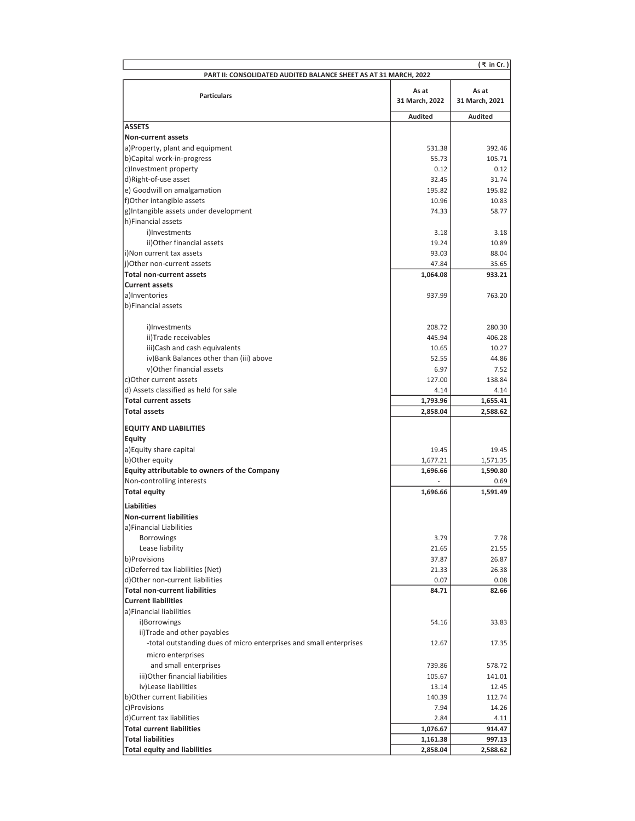|                                                                    |                         | ( ₹ in Cr.)             |
|--------------------------------------------------------------------|-------------------------|-------------------------|
| PART II: CONSOLIDATED AUDITED BALANCE SHEET AS AT 31 MARCH, 2022   |                         |                         |
| <b>Particulars</b>                                                 | As at<br>31 March, 2022 | As at<br>31 March, 2021 |
|                                                                    | <b>Audited</b>          | <b>Audited</b>          |
| <b>ASSETS</b>                                                      |                         |                         |
| Non-current assets                                                 |                         |                         |
| a)Property, plant and equipment                                    | 531.38                  | 392.46                  |
| b)Capital work-in-progress                                         | 55.73                   | 105.71                  |
| c) Investment property                                             | 0.12                    | 0.12                    |
| d)Right-of-use asset                                               | 32.45                   | 31.74                   |
| e) Goodwill on amalgamation                                        | 195.82                  | 195.82                  |
| f)Other intangible assets                                          | 10.96                   | 10.83                   |
| g)Intangible assets under development                              | 74.33                   | 58.77                   |
| h)Financial assets                                                 |                         |                         |
| i)Investments                                                      | 3.18                    | 3.18                    |
| ii)Other financial assets                                          | 19.24                   | 10.89                   |
| i)Non current tax assets                                           | 93.03                   | 88.04                   |
| (i)Other non-current assets                                        | 47.84                   | 35.65                   |
| <b>Total non-current assets</b>                                    | 1,064.08                | 933.21                  |
| <b>Current assets</b>                                              |                         |                         |
| a)Inventories                                                      | 937.99                  | 763.20                  |
| b)Financial assets                                                 |                         |                         |
|                                                                    |                         |                         |
| i)Investments                                                      | 208.72                  | 280.30                  |
| ii)Trade receivables                                               | 445.94                  | 406.28                  |
| iii)Cash and cash equivalents                                      | 10.65                   | 10.27                   |
| iv) Bank Balances other than (iii) above                           | 52.55                   | 44.86                   |
| v)Other financial assets                                           | 6.97                    | 7.52                    |
| c) Other current assets                                            | 127.00                  | 138.84                  |
| d) Assets classified as held for sale                              | 4.14                    | 4.14                    |
| <b>Total current assets</b>                                        | 1,793.96                | 1,655.41                |
| <b>Total assets</b>                                                | 2,858.04                | 2,588.62                |
| <b>EQUITY AND LIABILITIES</b>                                      |                         |                         |
| <b>Equity</b>                                                      |                         |                         |
| a) Equity share capital                                            | 19.45                   | 19.45                   |
| b) Other equity                                                    | 1,677.21                | 1,571.35                |
| Equity attributable to owners of the Company                       | 1,696.66                | 1,590.80                |
| Non-controlling interests                                          |                         | 0.69                    |
| <b>Total equity</b>                                                | 1,696.66                | 1,591.49                |
| Liabilities                                                        |                         |                         |
| <b>Non-current liabilities</b>                                     |                         |                         |
| a)Financial Liabilities                                            |                         |                         |
| <b>Borrowings</b>                                                  | 3.79                    | 7.78                    |
| Lease liability                                                    | 21.65                   | 21.55                   |
| b)Provisions                                                       | 37.87                   | 26.87                   |
| c)Deferred tax liabilities (Net)                                   | 21.33                   | 26.38                   |
| d)Other non-current liabilities                                    | 0.07                    | 0.08                    |
| <b>Total non-current liabilities</b>                               | 84.71                   | 82.66                   |
| <b>Current liabilities</b>                                         |                         |                         |
| a)Financial liabilities                                            |                         |                         |
| i)Borrowings                                                       | 54.16                   | 33.83                   |
| ii)Trade and other payables                                        |                         |                         |
| -total outstanding dues of micro enterprises and small enterprises | 12.67                   | 17.35                   |
| micro enterprises                                                  |                         |                         |
| and small enterprises                                              | 739.86                  | 578.72                  |
| iii) Other financial liabilities                                   | 105.67                  | 141.01                  |
| iv) Lease liabilities                                              | 13.14                   | 12.45                   |
| b) Other current liabilities                                       | 140.39                  | 112.74                  |
| c)Provisions                                                       | 7.94                    | 14.26                   |
| d)Current tax liabilities                                          | 2.84                    | 4.11                    |
| <b>Total current liabilities</b>                                   | 1,076.67                | 914.47                  |
| <b>Total liabilities</b>                                           | 1,161.38                | 997.13                  |
| <b>Total equity and liabilities</b>                                | 2,858.04                | 2,588.62                |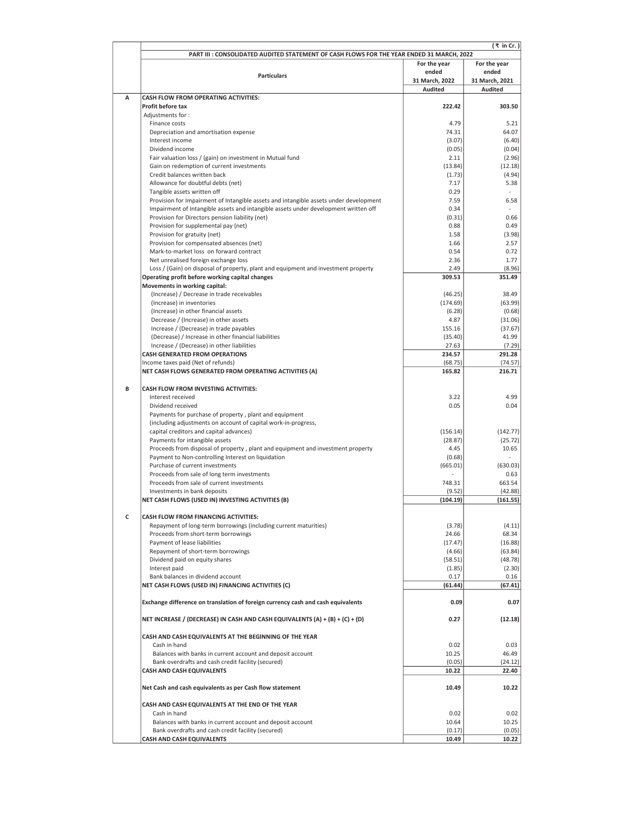| PART III : CONSOLIDATED AUDITED STATEMENT OF CASH FLOWS FOR THE YEAR ENDED 31 MARCH, 2022<br>For the year<br>For the year<br>ended<br>ended<br><b>Particulars</b><br>31 March, 2022<br>31 March, 2021<br><b>Audited</b><br><b>Audited</b><br><b>CASH FLOW FROM OPERATING ACTIVITIES:</b><br>A<br>Profit before tax<br>222.42<br>303.50<br>Adjustments for:<br>4.79<br>5.21<br>Finance costs<br>Depreciation and amortisation expense<br>74.31<br>64.07<br>(3.07)<br>(6.40)<br>Interest income<br>Dividend income<br>(0.05)<br>Fair valuation loss / (gain) on investment in Mutual fund<br>2.11<br>Gain on redemption of current investments<br>(13.84)<br>Credit balances written back<br>(1.73)<br>Allowance for doubtful debts (net)<br>7.17<br>5.38<br>Tangible assets written off<br>0.29<br>Provision for Impairment of Intangible assets and intangible assets under development<br>7.59<br>6.58<br>Impairment of Intangible assets and intangible assets under development written off<br>0.34<br>Provision for Directors pension liability (net)<br>(0.31)<br>0.66<br>Provision for supplemental pay (net)<br>0.88<br>0.49<br>Provision for gratuity (net)<br>1.58<br>(3.98)<br>Provision for compensated absences (net)<br>1.66<br>2.57<br>Mark-to-market loss on forward contract<br>0.54<br>0.72<br>Net unrealised foreign exchange loss<br>1.77<br>2.36<br>Loss / (Gain) on disposal of property, plant and equipment and investment property<br>2.49<br>(8.96)<br>Operating profit before working capital changes<br>309.53<br>351.49<br>Movements in working capital:<br>(Increase) / Decrease in trade receivables<br>38.49<br>(46.25)<br>(63.99)<br>(Increase) in inventories<br>(174.69)<br>(Increase) in other financial assets<br>(0.68)<br>(6.28)<br>Decrease / (Increase) in other assets<br>4.87<br>(31.06)<br>Increase / (Decrease) in trade payables<br>(37.67)<br>155.16<br>(Decrease) / Increase in other financial liabilities<br>(35.40)<br>Increase / (Decrease) in other liabilities<br>27.63<br><b>CASH GENERATED FROM OPERATIONS</b><br>234.57<br>Income taxes paid (Net of refunds)<br>(68.75)<br>NET CASH FLOWS GENERATED FROM OPERATING ACTIVITIES (A)<br>165.82<br>216.71<br>B<br><b>CASH FLOW FROM INVESTING ACTIVITIES:</b><br>Interest received<br>4.99<br>3.22<br>Dividend received<br>0.05<br>0.04<br>Payments for purchase of property, plant and equipment<br>(including adjustments on account of capital work-in-progress,<br>capital creditors and capital advances)<br>(156.14)<br>(142.77)<br>Payments for intangible assets<br>(28.87)<br>(25.72)<br>Proceeds from disposal of property, plant and equipment and investment property<br>4.45<br>10.65<br>Payment to Non-controlling Interest on liquidation<br>(0.68)<br>Purchase of current investments<br>(665.01)<br>(630.03)<br>Proceeds from sale of long term investments<br>0.63<br>Proceeds from sale of current investments<br>748.31<br>663.54<br>Investments in bank deposits<br>(42.88)<br>(9.52)<br>NET CASH FLOWS (USED IN) INVESTING ACTIVITIES (B)<br>(104.19)<br>(161.55)<br>c<br>CASH FLOW FROM FINANCING ACTIVITIES:<br>Repayment of long-term borrowings (including current maturities)<br>(3.78)<br>Proceeds from short-term borrowings<br>24.66<br>Payment of lease liabilities<br>(17.47)<br>Repayment of short-term borrowings<br>(4.66)<br>Dividend paid on equity shares<br>(58.51)<br>Interest paid<br>(1.85)<br>Bank balances in dividend account<br>0.17<br>NET CASH FLOWS (USED IN) FINANCING ACTIVITIES (C)<br>(61.44)<br>Exchange difference on translation of foreign currency cash and cash equivalents<br>0.09<br>0.07<br>NET INCREASE / (DECREASE) IN CASH AND CASH EQUIVALENTS (A) + (B) + (C) + (D)<br>0.27<br>CASH AND CASH EQUIVALENTS AT THE BEGINNING OF THE YEAR<br>Cash in hand<br>0.02<br>Balances with banks in current account and deposit account<br>10.25<br>46.49<br>Bank overdrafts and cash credit facility (secured)<br>(0.05)<br><b>CASH AND CASH EQUIVALENTS</b><br>22.40<br>10.22<br>Net Cash and cash equivalents as per Cash flow statement<br>10.49<br>CASH AND CASH EQUIVALENTS AT THE END OF THE YEAR<br>Cash in hand<br>0.02<br>Balances with banks in current account and deposit account<br>10.64<br>Bank overdrafts and cash credit facility (secured)<br>(0.17)<br><b>CASH AND CASH EQUIVALENTS</b><br>10.49 | ( ₹ in Cr.) |  |         |  |
|----------------------------------------------------------------------------------------------------------------------------------------------------------------------------------------------------------------------------------------------------------------------------------------------------------------------------------------------------------------------------------------------------------------------------------------------------------------------------------------------------------------------------------------------------------------------------------------------------------------------------------------------------------------------------------------------------------------------------------------------------------------------------------------------------------------------------------------------------------------------------------------------------------------------------------------------------------------------------------------------------------------------------------------------------------------------------------------------------------------------------------------------------------------------------------------------------------------------------------------------------------------------------------------------------------------------------------------------------------------------------------------------------------------------------------------------------------------------------------------------------------------------------------------------------------------------------------------------------------------------------------------------------------------------------------------------------------------------------------------------------------------------------------------------------------------------------------------------------------------------------------------------------------------------------------------------------------------------------------------------------------------------------------------------------------------------------------------------------------------------------------------------------------------------------------------------------------------------------------------------------------------------------------------------------------------------------------------------------------------------------------------------------------------------------------------------------------------------------------------------------------------------------------------------------------------------------------------------------------------------------------------------------------------------------------------------------------------------------------------------------------------------------------------------------------------------------------------------------------------------------------------------------------------------------------------------------------------------------------------------------------------------------------------------------------------------------------------------------------------------------------------------------------------------------------------------------------------------------------------------------------------------------------------------------------------------------------------------------------------------------------------------------------------------------------------------------------------------------------------------------------------------------------------------------------------------------------------------------------------------------------------------------------------------------------------------------------------------------------------------------------------------------------------------------------------------------------------------------------------------------------------------------------------------------------------------------------------------------------------------------------------------------------------------------------------------------------------------------------------------------------------------------------------------------------------------------------------------------------------------------------------------------------------------------------------------------------------------------------------------------------|-------------|--|---------|--|
|                                                                                                                                                                                                                                                                                                                                                                                                                                                                                                                                                                                                                                                                                                                                                                                                                                                                                                                                                                                                                                                                                                                                                                                                                                                                                                                                                                                                                                                                                                                                                                                                                                                                                                                                                                                                                                                                                                                                                                                                                                                                                                                                                                                                                                                                                                                                                                                                                                                                                                                                                                                                                                                                                                                                                                                                                                                                                                                                                                                                                                                                                                                                                                                                                                                                                                                                                                                                                                                                                                                                                                                                                                                                                                                                                                                                                                                                                                                                                                                                                                                                                                                                                                                                                                                                                                                                                                                  |             |  |         |  |
|                                                                                                                                                                                                                                                                                                                                                                                                                                                                                                                                                                                                                                                                                                                                                                                                                                                                                                                                                                                                                                                                                                                                                                                                                                                                                                                                                                                                                                                                                                                                                                                                                                                                                                                                                                                                                                                                                                                                                                                                                                                                                                                                                                                                                                                                                                                                                                                                                                                                                                                                                                                                                                                                                                                                                                                                                                                                                                                                                                                                                                                                                                                                                                                                                                                                                                                                                                                                                                                                                                                                                                                                                                                                                                                                                                                                                                                                                                                                                                                                                                                                                                                                                                                                                                                                                                                                                                                  |             |  |         |  |
|                                                                                                                                                                                                                                                                                                                                                                                                                                                                                                                                                                                                                                                                                                                                                                                                                                                                                                                                                                                                                                                                                                                                                                                                                                                                                                                                                                                                                                                                                                                                                                                                                                                                                                                                                                                                                                                                                                                                                                                                                                                                                                                                                                                                                                                                                                                                                                                                                                                                                                                                                                                                                                                                                                                                                                                                                                                                                                                                                                                                                                                                                                                                                                                                                                                                                                                                                                                                                                                                                                                                                                                                                                                                                                                                                                                                                                                                                                                                                                                                                                                                                                                                                                                                                                                                                                                                                                                  |             |  |         |  |
|                                                                                                                                                                                                                                                                                                                                                                                                                                                                                                                                                                                                                                                                                                                                                                                                                                                                                                                                                                                                                                                                                                                                                                                                                                                                                                                                                                                                                                                                                                                                                                                                                                                                                                                                                                                                                                                                                                                                                                                                                                                                                                                                                                                                                                                                                                                                                                                                                                                                                                                                                                                                                                                                                                                                                                                                                                                                                                                                                                                                                                                                                                                                                                                                                                                                                                                                                                                                                                                                                                                                                                                                                                                                                                                                                                                                                                                                                                                                                                                                                                                                                                                                                                                                                                                                                                                                                                                  |             |  |         |  |
|                                                                                                                                                                                                                                                                                                                                                                                                                                                                                                                                                                                                                                                                                                                                                                                                                                                                                                                                                                                                                                                                                                                                                                                                                                                                                                                                                                                                                                                                                                                                                                                                                                                                                                                                                                                                                                                                                                                                                                                                                                                                                                                                                                                                                                                                                                                                                                                                                                                                                                                                                                                                                                                                                                                                                                                                                                                                                                                                                                                                                                                                                                                                                                                                                                                                                                                                                                                                                                                                                                                                                                                                                                                                                                                                                                                                                                                                                                                                                                                                                                                                                                                                                                                                                                                                                                                                                                                  |             |  |         |  |
|                                                                                                                                                                                                                                                                                                                                                                                                                                                                                                                                                                                                                                                                                                                                                                                                                                                                                                                                                                                                                                                                                                                                                                                                                                                                                                                                                                                                                                                                                                                                                                                                                                                                                                                                                                                                                                                                                                                                                                                                                                                                                                                                                                                                                                                                                                                                                                                                                                                                                                                                                                                                                                                                                                                                                                                                                                                                                                                                                                                                                                                                                                                                                                                                                                                                                                                                                                                                                                                                                                                                                                                                                                                                                                                                                                                                                                                                                                                                                                                                                                                                                                                                                                                                                                                                                                                                                                                  |             |  |         |  |
|                                                                                                                                                                                                                                                                                                                                                                                                                                                                                                                                                                                                                                                                                                                                                                                                                                                                                                                                                                                                                                                                                                                                                                                                                                                                                                                                                                                                                                                                                                                                                                                                                                                                                                                                                                                                                                                                                                                                                                                                                                                                                                                                                                                                                                                                                                                                                                                                                                                                                                                                                                                                                                                                                                                                                                                                                                                                                                                                                                                                                                                                                                                                                                                                                                                                                                                                                                                                                                                                                                                                                                                                                                                                                                                                                                                                                                                                                                                                                                                                                                                                                                                                                                                                                                                                                                                                                                                  |             |  |         |  |
|                                                                                                                                                                                                                                                                                                                                                                                                                                                                                                                                                                                                                                                                                                                                                                                                                                                                                                                                                                                                                                                                                                                                                                                                                                                                                                                                                                                                                                                                                                                                                                                                                                                                                                                                                                                                                                                                                                                                                                                                                                                                                                                                                                                                                                                                                                                                                                                                                                                                                                                                                                                                                                                                                                                                                                                                                                                                                                                                                                                                                                                                                                                                                                                                                                                                                                                                                                                                                                                                                                                                                                                                                                                                                                                                                                                                                                                                                                                                                                                                                                                                                                                                                                                                                                                                                                                                                                                  |             |  |         |  |
|                                                                                                                                                                                                                                                                                                                                                                                                                                                                                                                                                                                                                                                                                                                                                                                                                                                                                                                                                                                                                                                                                                                                                                                                                                                                                                                                                                                                                                                                                                                                                                                                                                                                                                                                                                                                                                                                                                                                                                                                                                                                                                                                                                                                                                                                                                                                                                                                                                                                                                                                                                                                                                                                                                                                                                                                                                                                                                                                                                                                                                                                                                                                                                                                                                                                                                                                                                                                                                                                                                                                                                                                                                                                                                                                                                                                                                                                                                                                                                                                                                                                                                                                                                                                                                                                                                                                                                                  |             |  |         |  |
|                                                                                                                                                                                                                                                                                                                                                                                                                                                                                                                                                                                                                                                                                                                                                                                                                                                                                                                                                                                                                                                                                                                                                                                                                                                                                                                                                                                                                                                                                                                                                                                                                                                                                                                                                                                                                                                                                                                                                                                                                                                                                                                                                                                                                                                                                                                                                                                                                                                                                                                                                                                                                                                                                                                                                                                                                                                                                                                                                                                                                                                                                                                                                                                                                                                                                                                                                                                                                                                                                                                                                                                                                                                                                                                                                                                                                                                                                                                                                                                                                                                                                                                                                                                                                                                                                                                                                                                  |             |  |         |  |
|                                                                                                                                                                                                                                                                                                                                                                                                                                                                                                                                                                                                                                                                                                                                                                                                                                                                                                                                                                                                                                                                                                                                                                                                                                                                                                                                                                                                                                                                                                                                                                                                                                                                                                                                                                                                                                                                                                                                                                                                                                                                                                                                                                                                                                                                                                                                                                                                                                                                                                                                                                                                                                                                                                                                                                                                                                                                                                                                                                                                                                                                                                                                                                                                                                                                                                                                                                                                                                                                                                                                                                                                                                                                                                                                                                                                                                                                                                                                                                                                                                                                                                                                                                                                                                                                                                                                                                                  |             |  | (0.04)  |  |
|                                                                                                                                                                                                                                                                                                                                                                                                                                                                                                                                                                                                                                                                                                                                                                                                                                                                                                                                                                                                                                                                                                                                                                                                                                                                                                                                                                                                                                                                                                                                                                                                                                                                                                                                                                                                                                                                                                                                                                                                                                                                                                                                                                                                                                                                                                                                                                                                                                                                                                                                                                                                                                                                                                                                                                                                                                                                                                                                                                                                                                                                                                                                                                                                                                                                                                                                                                                                                                                                                                                                                                                                                                                                                                                                                                                                                                                                                                                                                                                                                                                                                                                                                                                                                                                                                                                                                                                  |             |  | (2.96)  |  |
|                                                                                                                                                                                                                                                                                                                                                                                                                                                                                                                                                                                                                                                                                                                                                                                                                                                                                                                                                                                                                                                                                                                                                                                                                                                                                                                                                                                                                                                                                                                                                                                                                                                                                                                                                                                                                                                                                                                                                                                                                                                                                                                                                                                                                                                                                                                                                                                                                                                                                                                                                                                                                                                                                                                                                                                                                                                                                                                                                                                                                                                                                                                                                                                                                                                                                                                                                                                                                                                                                                                                                                                                                                                                                                                                                                                                                                                                                                                                                                                                                                                                                                                                                                                                                                                                                                                                                                                  |             |  | (12.18) |  |
|                                                                                                                                                                                                                                                                                                                                                                                                                                                                                                                                                                                                                                                                                                                                                                                                                                                                                                                                                                                                                                                                                                                                                                                                                                                                                                                                                                                                                                                                                                                                                                                                                                                                                                                                                                                                                                                                                                                                                                                                                                                                                                                                                                                                                                                                                                                                                                                                                                                                                                                                                                                                                                                                                                                                                                                                                                                                                                                                                                                                                                                                                                                                                                                                                                                                                                                                                                                                                                                                                                                                                                                                                                                                                                                                                                                                                                                                                                                                                                                                                                                                                                                                                                                                                                                                                                                                                                                  |             |  | (4.94)  |  |
|                                                                                                                                                                                                                                                                                                                                                                                                                                                                                                                                                                                                                                                                                                                                                                                                                                                                                                                                                                                                                                                                                                                                                                                                                                                                                                                                                                                                                                                                                                                                                                                                                                                                                                                                                                                                                                                                                                                                                                                                                                                                                                                                                                                                                                                                                                                                                                                                                                                                                                                                                                                                                                                                                                                                                                                                                                                                                                                                                                                                                                                                                                                                                                                                                                                                                                                                                                                                                                                                                                                                                                                                                                                                                                                                                                                                                                                                                                                                                                                                                                                                                                                                                                                                                                                                                                                                                                                  |             |  |         |  |
|                                                                                                                                                                                                                                                                                                                                                                                                                                                                                                                                                                                                                                                                                                                                                                                                                                                                                                                                                                                                                                                                                                                                                                                                                                                                                                                                                                                                                                                                                                                                                                                                                                                                                                                                                                                                                                                                                                                                                                                                                                                                                                                                                                                                                                                                                                                                                                                                                                                                                                                                                                                                                                                                                                                                                                                                                                                                                                                                                                                                                                                                                                                                                                                                                                                                                                                                                                                                                                                                                                                                                                                                                                                                                                                                                                                                                                                                                                                                                                                                                                                                                                                                                                                                                                                                                                                                                                                  |             |  |         |  |
|                                                                                                                                                                                                                                                                                                                                                                                                                                                                                                                                                                                                                                                                                                                                                                                                                                                                                                                                                                                                                                                                                                                                                                                                                                                                                                                                                                                                                                                                                                                                                                                                                                                                                                                                                                                                                                                                                                                                                                                                                                                                                                                                                                                                                                                                                                                                                                                                                                                                                                                                                                                                                                                                                                                                                                                                                                                                                                                                                                                                                                                                                                                                                                                                                                                                                                                                                                                                                                                                                                                                                                                                                                                                                                                                                                                                                                                                                                                                                                                                                                                                                                                                                                                                                                                                                                                                                                                  |             |  |         |  |
|                                                                                                                                                                                                                                                                                                                                                                                                                                                                                                                                                                                                                                                                                                                                                                                                                                                                                                                                                                                                                                                                                                                                                                                                                                                                                                                                                                                                                                                                                                                                                                                                                                                                                                                                                                                                                                                                                                                                                                                                                                                                                                                                                                                                                                                                                                                                                                                                                                                                                                                                                                                                                                                                                                                                                                                                                                                                                                                                                                                                                                                                                                                                                                                                                                                                                                                                                                                                                                                                                                                                                                                                                                                                                                                                                                                                                                                                                                                                                                                                                                                                                                                                                                                                                                                                                                                                                                                  |             |  |         |  |
|                                                                                                                                                                                                                                                                                                                                                                                                                                                                                                                                                                                                                                                                                                                                                                                                                                                                                                                                                                                                                                                                                                                                                                                                                                                                                                                                                                                                                                                                                                                                                                                                                                                                                                                                                                                                                                                                                                                                                                                                                                                                                                                                                                                                                                                                                                                                                                                                                                                                                                                                                                                                                                                                                                                                                                                                                                                                                                                                                                                                                                                                                                                                                                                                                                                                                                                                                                                                                                                                                                                                                                                                                                                                                                                                                                                                                                                                                                                                                                                                                                                                                                                                                                                                                                                                                                                                                                                  |             |  |         |  |
|                                                                                                                                                                                                                                                                                                                                                                                                                                                                                                                                                                                                                                                                                                                                                                                                                                                                                                                                                                                                                                                                                                                                                                                                                                                                                                                                                                                                                                                                                                                                                                                                                                                                                                                                                                                                                                                                                                                                                                                                                                                                                                                                                                                                                                                                                                                                                                                                                                                                                                                                                                                                                                                                                                                                                                                                                                                                                                                                                                                                                                                                                                                                                                                                                                                                                                                                                                                                                                                                                                                                                                                                                                                                                                                                                                                                                                                                                                                                                                                                                                                                                                                                                                                                                                                                                                                                                                                  |             |  |         |  |
|                                                                                                                                                                                                                                                                                                                                                                                                                                                                                                                                                                                                                                                                                                                                                                                                                                                                                                                                                                                                                                                                                                                                                                                                                                                                                                                                                                                                                                                                                                                                                                                                                                                                                                                                                                                                                                                                                                                                                                                                                                                                                                                                                                                                                                                                                                                                                                                                                                                                                                                                                                                                                                                                                                                                                                                                                                                                                                                                                                                                                                                                                                                                                                                                                                                                                                                                                                                                                                                                                                                                                                                                                                                                                                                                                                                                                                                                                                                                                                                                                                                                                                                                                                                                                                                                                                                                                                                  |             |  |         |  |
|                                                                                                                                                                                                                                                                                                                                                                                                                                                                                                                                                                                                                                                                                                                                                                                                                                                                                                                                                                                                                                                                                                                                                                                                                                                                                                                                                                                                                                                                                                                                                                                                                                                                                                                                                                                                                                                                                                                                                                                                                                                                                                                                                                                                                                                                                                                                                                                                                                                                                                                                                                                                                                                                                                                                                                                                                                                                                                                                                                                                                                                                                                                                                                                                                                                                                                                                                                                                                                                                                                                                                                                                                                                                                                                                                                                                                                                                                                                                                                                                                                                                                                                                                                                                                                                                                                                                                                                  |             |  |         |  |
|                                                                                                                                                                                                                                                                                                                                                                                                                                                                                                                                                                                                                                                                                                                                                                                                                                                                                                                                                                                                                                                                                                                                                                                                                                                                                                                                                                                                                                                                                                                                                                                                                                                                                                                                                                                                                                                                                                                                                                                                                                                                                                                                                                                                                                                                                                                                                                                                                                                                                                                                                                                                                                                                                                                                                                                                                                                                                                                                                                                                                                                                                                                                                                                                                                                                                                                                                                                                                                                                                                                                                                                                                                                                                                                                                                                                                                                                                                                                                                                                                                                                                                                                                                                                                                                                                                                                                                                  |             |  |         |  |
|                                                                                                                                                                                                                                                                                                                                                                                                                                                                                                                                                                                                                                                                                                                                                                                                                                                                                                                                                                                                                                                                                                                                                                                                                                                                                                                                                                                                                                                                                                                                                                                                                                                                                                                                                                                                                                                                                                                                                                                                                                                                                                                                                                                                                                                                                                                                                                                                                                                                                                                                                                                                                                                                                                                                                                                                                                                                                                                                                                                                                                                                                                                                                                                                                                                                                                                                                                                                                                                                                                                                                                                                                                                                                                                                                                                                                                                                                                                                                                                                                                                                                                                                                                                                                                                                                                                                                                                  |             |  |         |  |
|                                                                                                                                                                                                                                                                                                                                                                                                                                                                                                                                                                                                                                                                                                                                                                                                                                                                                                                                                                                                                                                                                                                                                                                                                                                                                                                                                                                                                                                                                                                                                                                                                                                                                                                                                                                                                                                                                                                                                                                                                                                                                                                                                                                                                                                                                                                                                                                                                                                                                                                                                                                                                                                                                                                                                                                                                                                                                                                                                                                                                                                                                                                                                                                                                                                                                                                                                                                                                                                                                                                                                                                                                                                                                                                                                                                                                                                                                                                                                                                                                                                                                                                                                                                                                                                                                                                                                                                  |             |  |         |  |
|                                                                                                                                                                                                                                                                                                                                                                                                                                                                                                                                                                                                                                                                                                                                                                                                                                                                                                                                                                                                                                                                                                                                                                                                                                                                                                                                                                                                                                                                                                                                                                                                                                                                                                                                                                                                                                                                                                                                                                                                                                                                                                                                                                                                                                                                                                                                                                                                                                                                                                                                                                                                                                                                                                                                                                                                                                                                                                                                                                                                                                                                                                                                                                                                                                                                                                                                                                                                                                                                                                                                                                                                                                                                                                                                                                                                                                                                                                                                                                                                                                                                                                                                                                                                                                                                                                                                                                                  |             |  |         |  |
|                                                                                                                                                                                                                                                                                                                                                                                                                                                                                                                                                                                                                                                                                                                                                                                                                                                                                                                                                                                                                                                                                                                                                                                                                                                                                                                                                                                                                                                                                                                                                                                                                                                                                                                                                                                                                                                                                                                                                                                                                                                                                                                                                                                                                                                                                                                                                                                                                                                                                                                                                                                                                                                                                                                                                                                                                                                                                                                                                                                                                                                                                                                                                                                                                                                                                                                                                                                                                                                                                                                                                                                                                                                                                                                                                                                                                                                                                                                                                                                                                                                                                                                                                                                                                                                                                                                                                                                  |             |  |         |  |
|                                                                                                                                                                                                                                                                                                                                                                                                                                                                                                                                                                                                                                                                                                                                                                                                                                                                                                                                                                                                                                                                                                                                                                                                                                                                                                                                                                                                                                                                                                                                                                                                                                                                                                                                                                                                                                                                                                                                                                                                                                                                                                                                                                                                                                                                                                                                                                                                                                                                                                                                                                                                                                                                                                                                                                                                                                                                                                                                                                                                                                                                                                                                                                                                                                                                                                                                                                                                                                                                                                                                                                                                                                                                                                                                                                                                                                                                                                                                                                                                                                                                                                                                                                                                                                                                                                                                                                                  |             |  |         |  |
|                                                                                                                                                                                                                                                                                                                                                                                                                                                                                                                                                                                                                                                                                                                                                                                                                                                                                                                                                                                                                                                                                                                                                                                                                                                                                                                                                                                                                                                                                                                                                                                                                                                                                                                                                                                                                                                                                                                                                                                                                                                                                                                                                                                                                                                                                                                                                                                                                                                                                                                                                                                                                                                                                                                                                                                                                                                                                                                                                                                                                                                                                                                                                                                                                                                                                                                                                                                                                                                                                                                                                                                                                                                                                                                                                                                                                                                                                                                                                                                                                                                                                                                                                                                                                                                                                                                                                                                  |             |  |         |  |
|                                                                                                                                                                                                                                                                                                                                                                                                                                                                                                                                                                                                                                                                                                                                                                                                                                                                                                                                                                                                                                                                                                                                                                                                                                                                                                                                                                                                                                                                                                                                                                                                                                                                                                                                                                                                                                                                                                                                                                                                                                                                                                                                                                                                                                                                                                                                                                                                                                                                                                                                                                                                                                                                                                                                                                                                                                                                                                                                                                                                                                                                                                                                                                                                                                                                                                                                                                                                                                                                                                                                                                                                                                                                                                                                                                                                                                                                                                                                                                                                                                                                                                                                                                                                                                                                                                                                                                                  |             |  |         |  |
|                                                                                                                                                                                                                                                                                                                                                                                                                                                                                                                                                                                                                                                                                                                                                                                                                                                                                                                                                                                                                                                                                                                                                                                                                                                                                                                                                                                                                                                                                                                                                                                                                                                                                                                                                                                                                                                                                                                                                                                                                                                                                                                                                                                                                                                                                                                                                                                                                                                                                                                                                                                                                                                                                                                                                                                                                                                                                                                                                                                                                                                                                                                                                                                                                                                                                                                                                                                                                                                                                                                                                                                                                                                                                                                                                                                                                                                                                                                                                                                                                                                                                                                                                                                                                                                                                                                                                                                  |             |  |         |  |
|                                                                                                                                                                                                                                                                                                                                                                                                                                                                                                                                                                                                                                                                                                                                                                                                                                                                                                                                                                                                                                                                                                                                                                                                                                                                                                                                                                                                                                                                                                                                                                                                                                                                                                                                                                                                                                                                                                                                                                                                                                                                                                                                                                                                                                                                                                                                                                                                                                                                                                                                                                                                                                                                                                                                                                                                                                                                                                                                                                                                                                                                                                                                                                                                                                                                                                                                                                                                                                                                                                                                                                                                                                                                                                                                                                                                                                                                                                                                                                                                                                                                                                                                                                                                                                                                                                                                                                                  |             |  | 41.99   |  |
|                                                                                                                                                                                                                                                                                                                                                                                                                                                                                                                                                                                                                                                                                                                                                                                                                                                                                                                                                                                                                                                                                                                                                                                                                                                                                                                                                                                                                                                                                                                                                                                                                                                                                                                                                                                                                                                                                                                                                                                                                                                                                                                                                                                                                                                                                                                                                                                                                                                                                                                                                                                                                                                                                                                                                                                                                                                                                                                                                                                                                                                                                                                                                                                                                                                                                                                                                                                                                                                                                                                                                                                                                                                                                                                                                                                                                                                                                                                                                                                                                                                                                                                                                                                                                                                                                                                                                                                  |             |  | (7.29)  |  |
|                                                                                                                                                                                                                                                                                                                                                                                                                                                                                                                                                                                                                                                                                                                                                                                                                                                                                                                                                                                                                                                                                                                                                                                                                                                                                                                                                                                                                                                                                                                                                                                                                                                                                                                                                                                                                                                                                                                                                                                                                                                                                                                                                                                                                                                                                                                                                                                                                                                                                                                                                                                                                                                                                                                                                                                                                                                                                                                                                                                                                                                                                                                                                                                                                                                                                                                                                                                                                                                                                                                                                                                                                                                                                                                                                                                                                                                                                                                                                                                                                                                                                                                                                                                                                                                                                                                                                                                  |             |  | 291.28  |  |
|                                                                                                                                                                                                                                                                                                                                                                                                                                                                                                                                                                                                                                                                                                                                                                                                                                                                                                                                                                                                                                                                                                                                                                                                                                                                                                                                                                                                                                                                                                                                                                                                                                                                                                                                                                                                                                                                                                                                                                                                                                                                                                                                                                                                                                                                                                                                                                                                                                                                                                                                                                                                                                                                                                                                                                                                                                                                                                                                                                                                                                                                                                                                                                                                                                                                                                                                                                                                                                                                                                                                                                                                                                                                                                                                                                                                                                                                                                                                                                                                                                                                                                                                                                                                                                                                                                                                                                                  |             |  | (74.57) |  |
|                                                                                                                                                                                                                                                                                                                                                                                                                                                                                                                                                                                                                                                                                                                                                                                                                                                                                                                                                                                                                                                                                                                                                                                                                                                                                                                                                                                                                                                                                                                                                                                                                                                                                                                                                                                                                                                                                                                                                                                                                                                                                                                                                                                                                                                                                                                                                                                                                                                                                                                                                                                                                                                                                                                                                                                                                                                                                                                                                                                                                                                                                                                                                                                                                                                                                                                                                                                                                                                                                                                                                                                                                                                                                                                                                                                                                                                                                                                                                                                                                                                                                                                                                                                                                                                                                                                                                                                  |             |  |         |  |
|                                                                                                                                                                                                                                                                                                                                                                                                                                                                                                                                                                                                                                                                                                                                                                                                                                                                                                                                                                                                                                                                                                                                                                                                                                                                                                                                                                                                                                                                                                                                                                                                                                                                                                                                                                                                                                                                                                                                                                                                                                                                                                                                                                                                                                                                                                                                                                                                                                                                                                                                                                                                                                                                                                                                                                                                                                                                                                                                                                                                                                                                                                                                                                                                                                                                                                                                                                                                                                                                                                                                                                                                                                                                                                                                                                                                                                                                                                                                                                                                                                                                                                                                                                                                                                                                                                                                                                                  |             |  |         |  |
|                                                                                                                                                                                                                                                                                                                                                                                                                                                                                                                                                                                                                                                                                                                                                                                                                                                                                                                                                                                                                                                                                                                                                                                                                                                                                                                                                                                                                                                                                                                                                                                                                                                                                                                                                                                                                                                                                                                                                                                                                                                                                                                                                                                                                                                                                                                                                                                                                                                                                                                                                                                                                                                                                                                                                                                                                                                                                                                                                                                                                                                                                                                                                                                                                                                                                                                                                                                                                                                                                                                                                                                                                                                                                                                                                                                                                                                                                                                                                                                                                                                                                                                                                                                                                                                                                                                                                                                  |             |  |         |  |
|                                                                                                                                                                                                                                                                                                                                                                                                                                                                                                                                                                                                                                                                                                                                                                                                                                                                                                                                                                                                                                                                                                                                                                                                                                                                                                                                                                                                                                                                                                                                                                                                                                                                                                                                                                                                                                                                                                                                                                                                                                                                                                                                                                                                                                                                                                                                                                                                                                                                                                                                                                                                                                                                                                                                                                                                                                                                                                                                                                                                                                                                                                                                                                                                                                                                                                                                                                                                                                                                                                                                                                                                                                                                                                                                                                                                                                                                                                                                                                                                                                                                                                                                                                                                                                                                                                                                                                                  |             |  |         |  |
|                                                                                                                                                                                                                                                                                                                                                                                                                                                                                                                                                                                                                                                                                                                                                                                                                                                                                                                                                                                                                                                                                                                                                                                                                                                                                                                                                                                                                                                                                                                                                                                                                                                                                                                                                                                                                                                                                                                                                                                                                                                                                                                                                                                                                                                                                                                                                                                                                                                                                                                                                                                                                                                                                                                                                                                                                                                                                                                                                                                                                                                                                                                                                                                                                                                                                                                                                                                                                                                                                                                                                                                                                                                                                                                                                                                                                                                                                                                                                                                                                                                                                                                                                                                                                                                                                                                                                                                  |             |  |         |  |
|                                                                                                                                                                                                                                                                                                                                                                                                                                                                                                                                                                                                                                                                                                                                                                                                                                                                                                                                                                                                                                                                                                                                                                                                                                                                                                                                                                                                                                                                                                                                                                                                                                                                                                                                                                                                                                                                                                                                                                                                                                                                                                                                                                                                                                                                                                                                                                                                                                                                                                                                                                                                                                                                                                                                                                                                                                                                                                                                                                                                                                                                                                                                                                                                                                                                                                                                                                                                                                                                                                                                                                                                                                                                                                                                                                                                                                                                                                                                                                                                                                                                                                                                                                                                                                                                                                                                                                                  |             |  |         |  |
|                                                                                                                                                                                                                                                                                                                                                                                                                                                                                                                                                                                                                                                                                                                                                                                                                                                                                                                                                                                                                                                                                                                                                                                                                                                                                                                                                                                                                                                                                                                                                                                                                                                                                                                                                                                                                                                                                                                                                                                                                                                                                                                                                                                                                                                                                                                                                                                                                                                                                                                                                                                                                                                                                                                                                                                                                                                                                                                                                                                                                                                                                                                                                                                                                                                                                                                                                                                                                                                                                                                                                                                                                                                                                                                                                                                                                                                                                                                                                                                                                                                                                                                                                                                                                                                                                                                                                                                  |             |  |         |  |
|                                                                                                                                                                                                                                                                                                                                                                                                                                                                                                                                                                                                                                                                                                                                                                                                                                                                                                                                                                                                                                                                                                                                                                                                                                                                                                                                                                                                                                                                                                                                                                                                                                                                                                                                                                                                                                                                                                                                                                                                                                                                                                                                                                                                                                                                                                                                                                                                                                                                                                                                                                                                                                                                                                                                                                                                                                                                                                                                                                                                                                                                                                                                                                                                                                                                                                                                                                                                                                                                                                                                                                                                                                                                                                                                                                                                                                                                                                                                                                                                                                                                                                                                                                                                                                                                                                                                                                                  |             |  |         |  |
|                                                                                                                                                                                                                                                                                                                                                                                                                                                                                                                                                                                                                                                                                                                                                                                                                                                                                                                                                                                                                                                                                                                                                                                                                                                                                                                                                                                                                                                                                                                                                                                                                                                                                                                                                                                                                                                                                                                                                                                                                                                                                                                                                                                                                                                                                                                                                                                                                                                                                                                                                                                                                                                                                                                                                                                                                                                                                                                                                                                                                                                                                                                                                                                                                                                                                                                                                                                                                                                                                                                                                                                                                                                                                                                                                                                                                                                                                                                                                                                                                                                                                                                                                                                                                                                                                                                                                                                  |             |  |         |  |
|                                                                                                                                                                                                                                                                                                                                                                                                                                                                                                                                                                                                                                                                                                                                                                                                                                                                                                                                                                                                                                                                                                                                                                                                                                                                                                                                                                                                                                                                                                                                                                                                                                                                                                                                                                                                                                                                                                                                                                                                                                                                                                                                                                                                                                                                                                                                                                                                                                                                                                                                                                                                                                                                                                                                                                                                                                                                                                                                                                                                                                                                                                                                                                                                                                                                                                                                                                                                                                                                                                                                                                                                                                                                                                                                                                                                                                                                                                                                                                                                                                                                                                                                                                                                                                                                                                                                                                                  |             |  |         |  |
|                                                                                                                                                                                                                                                                                                                                                                                                                                                                                                                                                                                                                                                                                                                                                                                                                                                                                                                                                                                                                                                                                                                                                                                                                                                                                                                                                                                                                                                                                                                                                                                                                                                                                                                                                                                                                                                                                                                                                                                                                                                                                                                                                                                                                                                                                                                                                                                                                                                                                                                                                                                                                                                                                                                                                                                                                                                                                                                                                                                                                                                                                                                                                                                                                                                                                                                                                                                                                                                                                                                                                                                                                                                                                                                                                                                                                                                                                                                                                                                                                                                                                                                                                                                                                                                                                                                                                                                  |             |  |         |  |
|                                                                                                                                                                                                                                                                                                                                                                                                                                                                                                                                                                                                                                                                                                                                                                                                                                                                                                                                                                                                                                                                                                                                                                                                                                                                                                                                                                                                                                                                                                                                                                                                                                                                                                                                                                                                                                                                                                                                                                                                                                                                                                                                                                                                                                                                                                                                                                                                                                                                                                                                                                                                                                                                                                                                                                                                                                                                                                                                                                                                                                                                                                                                                                                                                                                                                                                                                                                                                                                                                                                                                                                                                                                                                                                                                                                                                                                                                                                                                                                                                                                                                                                                                                                                                                                                                                                                                                                  |             |  |         |  |
|                                                                                                                                                                                                                                                                                                                                                                                                                                                                                                                                                                                                                                                                                                                                                                                                                                                                                                                                                                                                                                                                                                                                                                                                                                                                                                                                                                                                                                                                                                                                                                                                                                                                                                                                                                                                                                                                                                                                                                                                                                                                                                                                                                                                                                                                                                                                                                                                                                                                                                                                                                                                                                                                                                                                                                                                                                                                                                                                                                                                                                                                                                                                                                                                                                                                                                                                                                                                                                                                                                                                                                                                                                                                                                                                                                                                                                                                                                                                                                                                                                                                                                                                                                                                                                                                                                                                                                                  |             |  |         |  |
|                                                                                                                                                                                                                                                                                                                                                                                                                                                                                                                                                                                                                                                                                                                                                                                                                                                                                                                                                                                                                                                                                                                                                                                                                                                                                                                                                                                                                                                                                                                                                                                                                                                                                                                                                                                                                                                                                                                                                                                                                                                                                                                                                                                                                                                                                                                                                                                                                                                                                                                                                                                                                                                                                                                                                                                                                                                                                                                                                                                                                                                                                                                                                                                                                                                                                                                                                                                                                                                                                                                                                                                                                                                                                                                                                                                                                                                                                                                                                                                                                                                                                                                                                                                                                                                                                                                                                                                  |             |  |         |  |
|                                                                                                                                                                                                                                                                                                                                                                                                                                                                                                                                                                                                                                                                                                                                                                                                                                                                                                                                                                                                                                                                                                                                                                                                                                                                                                                                                                                                                                                                                                                                                                                                                                                                                                                                                                                                                                                                                                                                                                                                                                                                                                                                                                                                                                                                                                                                                                                                                                                                                                                                                                                                                                                                                                                                                                                                                                                                                                                                                                                                                                                                                                                                                                                                                                                                                                                                                                                                                                                                                                                                                                                                                                                                                                                                                                                                                                                                                                                                                                                                                                                                                                                                                                                                                                                                                                                                                                                  |             |  |         |  |
|                                                                                                                                                                                                                                                                                                                                                                                                                                                                                                                                                                                                                                                                                                                                                                                                                                                                                                                                                                                                                                                                                                                                                                                                                                                                                                                                                                                                                                                                                                                                                                                                                                                                                                                                                                                                                                                                                                                                                                                                                                                                                                                                                                                                                                                                                                                                                                                                                                                                                                                                                                                                                                                                                                                                                                                                                                                                                                                                                                                                                                                                                                                                                                                                                                                                                                                                                                                                                                                                                                                                                                                                                                                                                                                                                                                                                                                                                                                                                                                                                                                                                                                                                                                                                                                                                                                                                                                  |             |  |         |  |
|                                                                                                                                                                                                                                                                                                                                                                                                                                                                                                                                                                                                                                                                                                                                                                                                                                                                                                                                                                                                                                                                                                                                                                                                                                                                                                                                                                                                                                                                                                                                                                                                                                                                                                                                                                                                                                                                                                                                                                                                                                                                                                                                                                                                                                                                                                                                                                                                                                                                                                                                                                                                                                                                                                                                                                                                                                                                                                                                                                                                                                                                                                                                                                                                                                                                                                                                                                                                                                                                                                                                                                                                                                                                                                                                                                                                                                                                                                                                                                                                                                                                                                                                                                                                                                                                                                                                                                                  |             |  |         |  |
|                                                                                                                                                                                                                                                                                                                                                                                                                                                                                                                                                                                                                                                                                                                                                                                                                                                                                                                                                                                                                                                                                                                                                                                                                                                                                                                                                                                                                                                                                                                                                                                                                                                                                                                                                                                                                                                                                                                                                                                                                                                                                                                                                                                                                                                                                                                                                                                                                                                                                                                                                                                                                                                                                                                                                                                                                                                                                                                                                                                                                                                                                                                                                                                                                                                                                                                                                                                                                                                                                                                                                                                                                                                                                                                                                                                                                                                                                                                                                                                                                                                                                                                                                                                                                                                                                                                                                                                  |             |  | (4.11)  |  |
|                                                                                                                                                                                                                                                                                                                                                                                                                                                                                                                                                                                                                                                                                                                                                                                                                                                                                                                                                                                                                                                                                                                                                                                                                                                                                                                                                                                                                                                                                                                                                                                                                                                                                                                                                                                                                                                                                                                                                                                                                                                                                                                                                                                                                                                                                                                                                                                                                                                                                                                                                                                                                                                                                                                                                                                                                                                                                                                                                                                                                                                                                                                                                                                                                                                                                                                                                                                                                                                                                                                                                                                                                                                                                                                                                                                                                                                                                                                                                                                                                                                                                                                                                                                                                                                                                                                                                                                  |             |  | 68.34   |  |
|                                                                                                                                                                                                                                                                                                                                                                                                                                                                                                                                                                                                                                                                                                                                                                                                                                                                                                                                                                                                                                                                                                                                                                                                                                                                                                                                                                                                                                                                                                                                                                                                                                                                                                                                                                                                                                                                                                                                                                                                                                                                                                                                                                                                                                                                                                                                                                                                                                                                                                                                                                                                                                                                                                                                                                                                                                                                                                                                                                                                                                                                                                                                                                                                                                                                                                                                                                                                                                                                                                                                                                                                                                                                                                                                                                                                                                                                                                                                                                                                                                                                                                                                                                                                                                                                                                                                                                                  |             |  | (16.88) |  |
|                                                                                                                                                                                                                                                                                                                                                                                                                                                                                                                                                                                                                                                                                                                                                                                                                                                                                                                                                                                                                                                                                                                                                                                                                                                                                                                                                                                                                                                                                                                                                                                                                                                                                                                                                                                                                                                                                                                                                                                                                                                                                                                                                                                                                                                                                                                                                                                                                                                                                                                                                                                                                                                                                                                                                                                                                                                                                                                                                                                                                                                                                                                                                                                                                                                                                                                                                                                                                                                                                                                                                                                                                                                                                                                                                                                                                                                                                                                                                                                                                                                                                                                                                                                                                                                                                                                                                                                  |             |  | (63.84) |  |
|                                                                                                                                                                                                                                                                                                                                                                                                                                                                                                                                                                                                                                                                                                                                                                                                                                                                                                                                                                                                                                                                                                                                                                                                                                                                                                                                                                                                                                                                                                                                                                                                                                                                                                                                                                                                                                                                                                                                                                                                                                                                                                                                                                                                                                                                                                                                                                                                                                                                                                                                                                                                                                                                                                                                                                                                                                                                                                                                                                                                                                                                                                                                                                                                                                                                                                                                                                                                                                                                                                                                                                                                                                                                                                                                                                                                                                                                                                                                                                                                                                                                                                                                                                                                                                                                                                                                                                                  |             |  | (48.78) |  |
|                                                                                                                                                                                                                                                                                                                                                                                                                                                                                                                                                                                                                                                                                                                                                                                                                                                                                                                                                                                                                                                                                                                                                                                                                                                                                                                                                                                                                                                                                                                                                                                                                                                                                                                                                                                                                                                                                                                                                                                                                                                                                                                                                                                                                                                                                                                                                                                                                                                                                                                                                                                                                                                                                                                                                                                                                                                                                                                                                                                                                                                                                                                                                                                                                                                                                                                                                                                                                                                                                                                                                                                                                                                                                                                                                                                                                                                                                                                                                                                                                                                                                                                                                                                                                                                                                                                                                                                  |             |  | (2.30)  |  |
|                                                                                                                                                                                                                                                                                                                                                                                                                                                                                                                                                                                                                                                                                                                                                                                                                                                                                                                                                                                                                                                                                                                                                                                                                                                                                                                                                                                                                                                                                                                                                                                                                                                                                                                                                                                                                                                                                                                                                                                                                                                                                                                                                                                                                                                                                                                                                                                                                                                                                                                                                                                                                                                                                                                                                                                                                                                                                                                                                                                                                                                                                                                                                                                                                                                                                                                                                                                                                                                                                                                                                                                                                                                                                                                                                                                                                                                                                                                                                                                                                                                                                                                                                                                                                                                                                                                                                                                  |             |  | 0.16    |  |
|                                                                                                                                                                                                                                                                                                                                                                                                                                                                                                                                                                                                                                                                                                                                                                                                                                                                                                                                                                                                                                                                                                                                                                                                                                                                                                                                                                                                                                                                                                                                                                                                                                                                                                                                                                                                                                                                                                                                                                                                                                                                                                                                                                                                                                                                                                                                                                                                                                                                                                                                                                                                                                                                                                                                                                                                                                                                                                                                                                                                                                                                                                                                                                                                                                                                                                                                                                                                                                                                                                                                                                                                                                                                                                                                                                                                                                                                                                                                                                                                                                                                                                                                                                                                                                                                                                                                                                                  |             |  | (67.41) |  |
|                                                                                                                                                                                                                                                                                                                                                                                                                                                                                                                                                                                                                                                                                                                                                                                                                                                                                                                                                                                                                                                                                                                                                                                                                                                                                                                                                                                                                                                                                                                                                                                                                                                                                                                                                                                                                                                                                                                                                                                                                                                                                                                                                                                                                                                                                                                                                                                                                                                                                                                                                                                                                                                                                                                                                                                                                                                                                                                                                                                                                                                                                                                                                                                                                                                                                                                                                                                                                                                                                                                                                                                                                                                                                                                                                                                                                                                                                                                                                                                                                                                                                                                                                                                                                                                                                                                                                                                  |             |  |         |  |
|                                                                                                                                                                                                                                                                                                                                                                                                                                                                                                                                                                                                                                                                                                                                                                                                                                                                                                                                                                                                                                                                                                                                                                                                                                                                                                                                                                                                                                                                                                                                                                                                                                                                                                                                                                                                                                                                                                                                                                                                                                                                                                                                                                                                                                                                                                                                                                                                                                                                                                                                                                                                                                                                                                                                                                                                                                                                                                                                                                                                                                                                                                                                                                                                                                                                                                                                                                                                                                                                                                                                                                                                                                                                                                                                                                                                                                                                                                                                                                                                                                                                                                                                                                                                                                                                                                                                                                                  |             |  |         |  |
|                                                                                                                                                                                                                                                                                                                                                                                                                                                                                                                                                                                                                                                                                                                                                                                                                                                                                                                                                                                                                                                                                                                                                                                                                                                                                                                                                                                                                                                                                                                                                                                                                                                                                                                                                                                                                                                                                                                                                                                                                                                                                                                                                                                                                                                                                                                                                                                                                                                                                                                                                                                                                                                                                                                                                                                                                                                                                                                                                                                                                                                                                                                                                                                                                                                                                                                                                                                                                                                                                                                                                                                                                                                                                                                                                                                                                                                                                                                                                                                                                                                                                                                                                                                                                                                                                                                                                                                  |             |  | (12.18) |  |
|                                                                                                                                                                                                                                                                                                                                                                                                                                                                                                                                                                                                                                                                                                                                                                                                                                                                                                                                                                                                                                                                                                                                                                                                                                                                                                                                                                                                                                                                                                                                                                                                                                                                                                                                                                                                                                                                                                                                                                                                                                                                                                                                                                                                                                                                                                                                                                                                                                                                                                                                                                                                                                                                                                                                                                                                                                                                                                                                                                                                                                                                                                                                                                                                                                                                                                                                                                                                                                                                                                                                                                                                                                                                                                                                                                                                                                                                                                                                                                                                                                                                                                                                                                                                                                                                                                                                                                                  |             |  |         |  |
|                                                                                                                                                                                                                                                                                                                                                                                                                                                                                                                                                                                                                                                                                                                                                                                                                                                                                                                                                                                                                                                                                                                                                                                                                                                                                                                                                                                                                                                                                                                                                                                                                                                                                                                                                                                                                                                                                                                                                                                                                                                                                                                                                                                                                                                                                                                                                                                                                                                                                                                                                                                                                                                                                                                                                                                                                                                                                                                                                                                                                                                                                                                                                                                                                                                                                                                                                                                                                                                                                                                                                                                                                                                                                                                                                                                                                                                                                                                                                                                                                                                                                                                                                                                                                                                                                                                                                                                  |             |  | 0.03    |  |
|                                                                                                                                                                                                                                                                                                                                                                                                                                                                                                                                                                                                                                                                                                                                                                                                                                                                                                                                                                                                                                                                                                                                                                                                                                                                                                                                                                                                                                                                                                                                                                                                                                                                                                                                                                                                                                                                                                                                                                                                                                                                                                                                                                                                                                                                                                                                                                                                                                                                                                                                                                                                                                                                                                                                                                                                                                                                                                                                                                                                                                                                                                                                                                                                                                                                                                                                                                                                                                                                                                                                                                                                                                                                                                                                                                                                                                                                                                                                                                                                                                                                                                                                                                                                                                                                                                                                                                                  |             |  |         |  |
|                                                                                                                                                                                                                                                                                                                                                                                                                                                                                                                                                                                                                                                                                                                                                                                                                                                                                                                                                                                                                                                                                                                                                                                                                                                                                                                                                                                                                                                                                                                                                                                                                                                                                                                                                                                                                                                                                                                                                                                                                                                                                                                                                                                                                                                                                                                                                                                                                                                                                                                                                                                                                                                                                                                                                                                                                                                                                                                                                                                                                                                                                                                                                                                                                                                                                                                                                                                                                                                                                                                                                                                                                                                                                                                                                                                                                                                                                                                                                                                                                                                                                                                                                                                                                                                                                                                                                                                  |             |  | (24.12) |  |
|                                                                                                                                                                                                                                                                                                                                                                                                                                                                                                                                                                                                                                                                                                                                                                                                                                                                                                                                                                                                                                                                                                                                                                                                                                                                                                                                                                                                                                                                                                                                                                                                                                                                                                                                                                                                                                                                                                                                                                                                                                                                                                                                                                                                                                                                                                                                                                                                                                                                                                                                                                                                                                                                                                                                                                                                                                                                                                                                                                                                                                                                                                                                                                                                                                                                                                                                                                                                                                                                                                                                                                                                                                                                                                                                                                                                                                                                                                                                                                                                                                                                                                                                                                                                                                                                                                                                                                                  |             |  |         |  |
|                                                                                                                                                                                                                                                                                                                                                                                                                                                                                                                                                                                                                                                                                                                                                                                                                                                                                                                                                                                                                                                                                                                                                                                                                                                                                                                                                                                                                                                                                                                                                                                                                                                                                                                                                                                                                                                                                                                                                                                                                                                                                                                                                                                                                                                                                                                                                                                                                                                                                                                                                                                                                                                                                                                                                                                                                                                                                                                                                                                                                                                                                                                                                                                                                                                                                                                                                                                                                                                                                                                                                                                                                                                                                                                                                                                                                                                                                                                                                                                                                                                                                                                                                                                                                                                                                                                                                                                  |             |  | 10.22   |  |
|                                                                                                                                                                                                                                                                                                                                                                                                                                                                                                                                                                                                                                                                                                                                                                                                                                                                                                                                                                                                                                                                                                                                                                                                                                                                                                                                                                                                                                                                                                                                                                                                                                                                                                                                                                                                                                                                                                                                                                                                                                                                                                                                                                                                                                                                                                                                                                                                                                                                                                                                                                                                                                                                                                                                                                                                                                                                                                                                                                                                                                                                                                                                                                                                                                                                                                                                                                                                                                                                                                                                                                                                                                                                                                                                                                                                                                                                                                                                                                                                                                                                                                                                                                                                                                                                                                                                                                                  |             |  |         |  |
|                                                                                                                                                                                                                                                                                                                                                                                                                                                                                                                                                                                                                                                                                                                                                                                                                                                                                                                                                                                                                                                                                                                                                                                                                                                                                                                                                                                                                                                                                                                                                                                                                                                                                                                                                                                                                                                                                                                                                                                                                                                                                                                                                                                                                                                                                                                                                                                                                                                                                                                                                                                                                                                                                                                                                                                                                                                                                                                                                                                                                                                                                                                                                                                                                                                                                                                                                                                                                                                                                                                                                                                                                                                                                                                                                                                                                                                                                                                                                                                                                                                                                                                                                                                                                                                                                                                                                                                  |             |  | 0.02    |  |
|                                                                                                                                                                                                                                                                                                                                                                                                                                                                                                                                                                                                                                                                                                                                                                                                                                                                                                                                                                                                                                                                                                                                                                                                                                                                                                                                                                                                                                                                                                                                                                                                                                                                                                                                                                                                                                                                                                                                                                                                                                                                                                                                                                                                                                                                                                                                                                                                                                                                                                                                                                                                                                                                                                                                                                                                                                                                                                                                                                                                                                                                                                                                                                                                                                                                                                                                                                                                                                                                                                                                                                                                                                                                                                                                                                                                                                                                                                                                                                                                                                                                                                                                                                                                                                                                                                                                                                                  |             |  | 10.25   |  |
|                                                                                                                                                                                                                                                                                                                                                                                                                                                                                                                                                                                                                                                                                                                                                                                                                                                                                                                                                                                                                                                                                                                                                                                                                                                                                                                                                                                                                                                                                                                                                                                                                                                                                                                                                                                                                                                                                                                                                                                                                                                                                                                                                                                                                                                                                                                                                                                                                                                                                                                                                                                                                                                                                                                                                                                                                                                                                                                                                                                                                                                                                                                                                                                                                                                                                                                                                                                                                                                                                                                                                                                                                                                                                                                                                                                                                                                                                                                                                                                                                                                                                                                                                                                                                                                                                                                                                                                  |             |  | (0.05)  |  |
|                                                                                                                                                                                                                                                                                                                                                                                                                                                                                                                                                                                                                                                                                                                                                                                                                                                                                                                                                                                                                                                                                                                                                                                                                                                                                                                                                                                                                                                                                                                                                                                                                                                                                                                                                                                                                                                                                                                                                                                                                                                                                                                                                                                                                                                                                                                                                                                                                                                                                                                                                                                                                                                                                                                                                                                                                                                                                                                                                                                                                                                                                                                                                                                                                                                                                                                                                                                                                                                                                                                                                                                                                                                                                                                                                                                                                                                                                                                                                                                                                                                                                                                                                                                                                                                                                                                                                                                  |             |  | 10.22   |  |